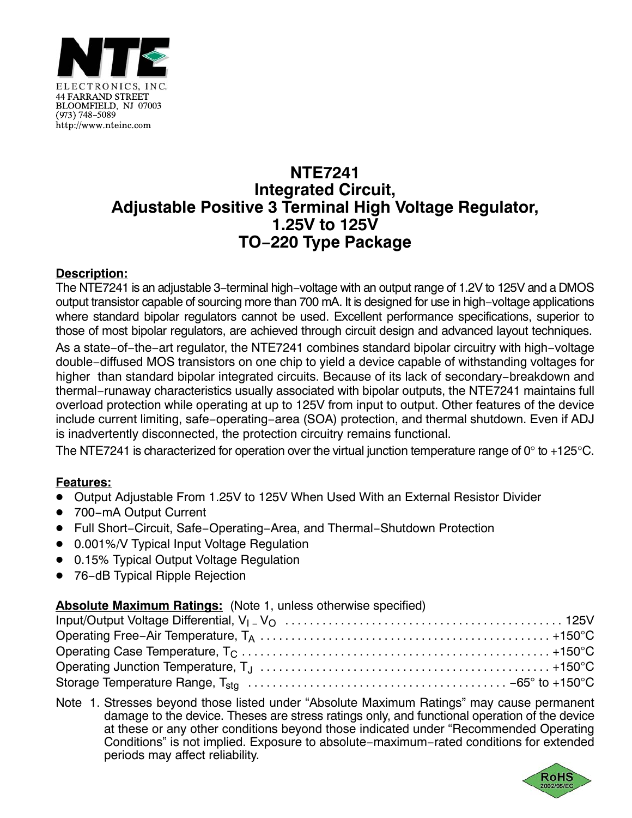

# **NTE7241 Integrated Circuit, Adjustable Positive 3 Terminal High Voltage Regulator, 1.25V to 125V TO−220 Type Package**

### **Description:**

The NTE7241 is an adjustable 3–terminal high–voltage with an output range of 1.2V to 125V and a DMOS output transistor capable of sourcing more than 700 mA. It is designed for use in high−voltage applications where standard bipolar regulators cannot be used. Excellent performance specifications, superior to those of most bipolar regulators, are achieved through circuit design and advanced layout techniques. As a state−of−the−art regulator, the NTE7241 combines standard bipolar circuitry with high−voltage double−diffused MOS transistors on one chip to yield a device capable of withstanding voltages for higher than standard bipolar integrated circuits. Because of its lack of secondary−breakdown and thermal−runaway characteristics usually associated with bipolar outputs, the NTE7241 maintains full overload protection while operating at up to 125V from input to output. Other features of the device include current limiting, safe−operating−area (SOA) protection, and thermal shutdown. Even if ADJ is inadvertently disconnected, the protection circuitry remains functional.

The NTE7241 is characterized for operation over the virtual junction temperature range of 0 $^{\circ}$  to +125 $^{\circ}$ C.

## **Features:**

- Output Adjustable From 1.25V to 125V When Used With an External Resistor Divider
- 700−mA Output Current
- Full Short−Circuit, Safe−Operating−Area, and Thermal−Shutdown Protection
- 0.001%/V Typical Input Voltage Regulation
- 0.15% Typical Output Voltage Regulation
- 76-dB Typical Ripple Rejection

#### **Absolute Maximum Ratings:** (Note 1, unless otherwise specified)

Note 1. Stresses beyond those listed under "Absolute Maximum Ratings" may cause permanent damage to the device. Theses are stress ratings only, and functional operation of the device at these or any other conditions beyond those indicated under "Recommended Operating Conditions" is not implied. Exposure to absolute−maximum−rated conditions for extended periods may affect reliability.

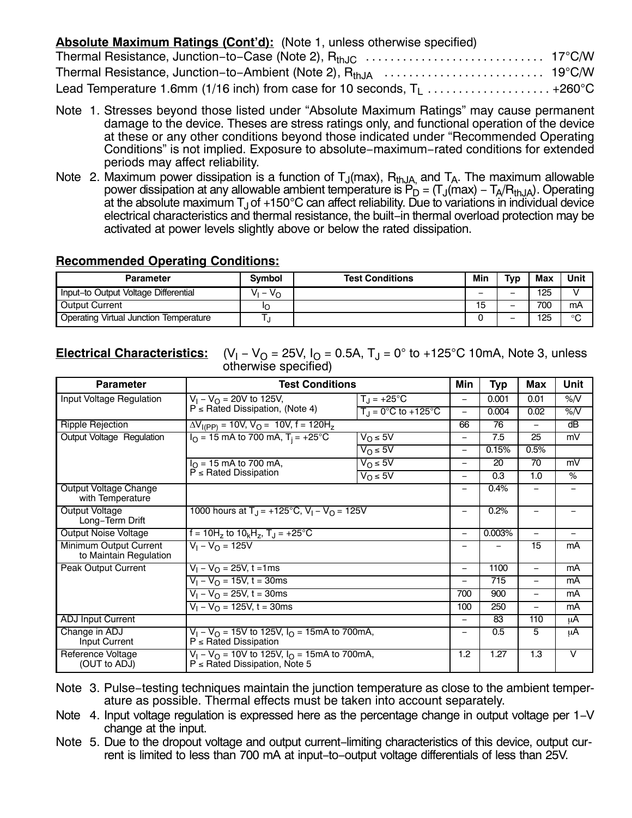# **Absolute Maximum Ratings (Cont'd):** (Note 1, unless otherwise specified)

| Lead Temperature 1.6mm (1/16 inch) from case for 10 seconds, $T_1$ +260°C |  |
|---------------------------------------------------------------------------|--|

- Note 1. Stresses beyond those listed under "Absolute Maximum Ratings" may cause permanent damage to the device. Theses are stress ratings only, and functional operation of the device at these or any other conditions beyond those indicated under "Recommended Operating Conditions" is not implied. Exposure to absolute−maximum−rated conditions for extended periods may affect reliability.
- Note 2. Maximum power dissipation is a function of  $T_J$ (max),  $R_{thJA}$  and  $T_A$ . The maximum allowable power dissipation at any allowable ambient temperature is  $\overline{P}_{D} = (T_{J}(max) - T_{A}/R_{thJA})$ . Operating at the absolute maximum  $T_{\rm J}$  of +150°C can affect reliability. Due to variations in individual device electrical characteristics and thermal resistance, the built−in thermal overload protection may be activated at power levels slightly above or below the rated dissipation.

#### **Recommended Operating Conditions:**

| <b>Parameter</b>                       | <b>Symbol</b>                                 | <b>Test Conditions</b> | Min | Typ                      | Max | Unit    |
|----------------------------------------|-----------------------------------------------|------------------------|-----|--------------------------|-----|---------|
| Input-to Output Voltage Differential   | $V_{\rm O}$<br>v.<br>$\overline{\phantom{0}}$ |                        | -   | -                        | 125 |         |
| Output Current                         | חו                                            |                        | 15  | $\overline{\phantom{a}}$ | 700 | mA      |
| Operating Virtual Junction Temperature |                                               |                        |     | -                        | 125 | $\circ$ |

#### **Electrical Characteristics:**  $(V_1 - V_0 = 25V, I_0 = 0.5A, T_J = 0^\circ$  to +125°C 10mA, Note 3, unless otherwise specified)

| <b>Parameter</b>                                 | <b>Test Conditions</b>                                                                                 |                                    | Min                      | <b>Typ</b> | Max                      | <b>Unit</b>             |
|--------------------------------------------------|--------------------------------------------------------------------------------------------------------|------------------------------------|--------------------------|------------|--------------------------|-------------------------|
| Input Voltage Regulation                         | $V_1 - V_{\Omega} = 20V$ to 125V,                                                                      | $T_{\rm J} = +25^{\circ}C$         | -                        | 0.001      | 0.01                     | $\sqrt[6]{N}$           |
|                                                  | $P \le$ Rated Dissipation, (Note 4)                                                                    | $T_J = 0^\circ \text{C}$ to +125°C | -                        | 0.004      | 0.02                     | %N                      |
| <b>Ripple Rejection</b>                          | $\Delta V_{I(PP)} = 10V, V_{O} = 10V, f = 120H_{Z}$                                                    |                                    | 66                       | 76         | $\overline{\phantom{0}}$ | dB                      |
| Output Voltage Regulation                        | $IO$ = 15 mA to 700 mA, T <sub>i</sub> = +25°C                                                         | $V_{\Omega} \leq 5V$               |                          | 7.5        | 25                       | mV                      |
|                                                  |                                                                                                        | $V_{\Omega} \leq 5V$               |                          | 0.15%      | 0.5%                     |                         |
|                                                  | $IO$ = 15 mA to 700 mA,<br>$P \leq$ Rated Dissipation                                                  | $V_{\Omega} \leq 5V$               | -                        | 20         | 70                       | mV                      |
|                                                  |                                                                                                        | $V_O \le 5V$                       | $\overline{\phantom{0}}$ | 0.3        | 1.0                      | %                       |
| Output Voltage Change<br>with Temperature        |                                                                                                        |                                    |                          | 0.4%       |                          |                         |
| Output Voltage<br>Long-Term Drift                | 1000 hours at $T_{J}$ = +125°C, V <sub>1</sub> – V <sub>0</sub> = 125V                                 |                                    |                          | 0.2%       |                          |                         |
| <b>Output Noise Voltage</b>                      | $f = 10H_z$ to $10_kH_z$ , $T_J = +25^\circ C$                                                         |                                    | $\qquad \qquad -$        | 0.003%     |                          |                         |
| Minimum Output Current<br>to Maintain Regulation | $V_1 - V_{\Omega} = 125V$                                                                              |                                    |                          |            | 15                       | mA                      |
| Peak Output Current                              | $V_1 - V_{\odot} = 25V$ , t = 1 ms                                                                     |                                    |                          | 1100       | $\overline{\phantom{0}}$ | mA                      |
| $V_1 - V_0 = 15V$ , t = 30ms                     |                                                                                                        |                                    | 715                      |            | mA                       |                         |
|                                                  | $V_1 - V_0 = 25V$ , t = 30ms                                                                           |                                    | 700                      | 900        |                          | mA                      |
| $V_1 - V_{\Omega} = 125V$ , t = 30ms             |                                                                                                        | 100                                | 250                      |            | mA                       |                         |
| <b>ADJ Input Current</b>                         |                                                                                                        |                                    |                          | 83         | 110                      | μA                      |
| Change in ADJ<br>Input Current                   | $V_1 - V_0 = 15V$ to 125V, $I_0 = 15$ mA to 700mA,<br>$P \leq$ Rated Dissipation                       |                                    |                          | 0.5        | 5                        | μA                      |
| Reference Voltage<br>(OUT to ADJ)                | $V_1 - V_{\Omega} = 10V$ to 125V, $I_{\Omega} = 15$ mA to 700mA,<br>$P \leq$ Rated Dissipation, Note 5 |                                    | 1.2                      | 1.27       | 1.3                      | $\overline{\mathsf{v}}$ |

Note 3. Pulse–testing techniques maintain the junction temperature as close to the ambient temperature as possible. Thermal effects must be taken into account separately.

Note 4. Input voltage regulation is expressed here as the percentage change in output voltage per 1−V change at the input.

Note 5. Due to the dropout voltage and output current−limiting characteristics of this device, output current is limited to less than 700 mA at input−to−output voltage differentials of less than 25V.